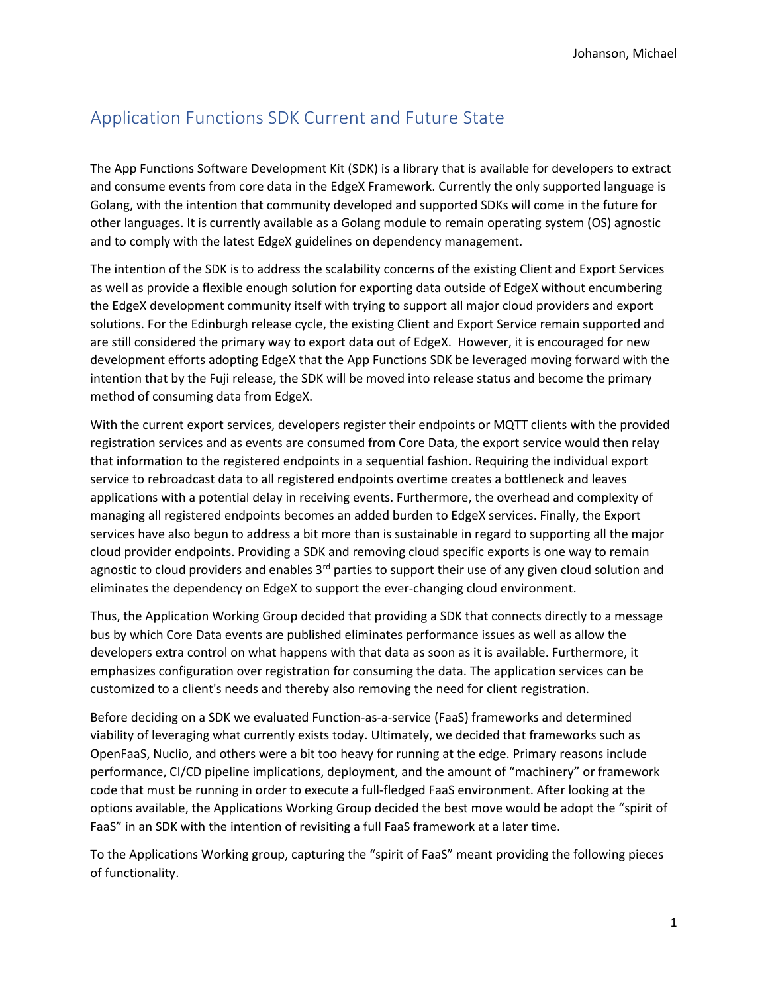# Application Functions SDK Current and Future State

The App Functions Software Development Kit (SDK) is a library that is available for developers to extract and consume events from core data in the EdgeX Framework. Currently the only supported language is Golang, with the intention that community developed and supported SDKs will come in the future for other languages. It is currently available as a Golang module to remain operating system (OS) agnostic and to comply with the latest EdgeX guidelines on dependency management.

The intention of the SDK is to address the scalability concerns of the existing Client and Export Services as well as provide a flexible enough solution for exporting data outside of EdgeX without encumbering the EdgeX development community itself with trying to support all major cloud providers and export solutions. For the Edinburgh release cycle, the existing Client and Export Service remain supported and are still considered the primary way to export data out of EdgeX. However, it is encouraged for new development efforts adopting EdgeX that the App Functions SDK be leveraged moving forward with the intention that by the Fuji release, the SDK will be moved into release status and become the primary method of consuming data from EdgeX.

With the current export services, developers register their endpoints or MQTT clients with the provided registration services and as events are consumed from Core Data, the export service would then relay that information to the registered endpoints in a sequential fashion. Requiring the individual export service to rebroadcast data to all registered endpoints overtime creates a bottleneck and leaves applications with a potential delay in receiving events. Furthermore, the overhead and complexity of managing all registered endpoints becomes an added burden to EdgeX services. Finally, the Export services have also begun to address a bit more than is sustainable in regard to supporting all the major cloud provider endpoints. Providing a SDK and removing cloud specific exports is one way to remain agnostic to cloud providers and enables  $3<sup>rd</sup>$  parties to support their use of any given cloud solution and eliminates the dependency on EdgeX to support the ever-changing cloud environment.

Thus, the Application Working Group decided that providing a SDK that connects directly to a message bus by which Core Data events are published eliminates performance issues as well as allow the developers extra control on what happens with that data as soon as it is available. Furthermore, it emphasizes configuration over registration for consuming the data. The application services can be customized to a client's needs and thereby also removing the need for client registration.

Before deciding on a SDK we evaluated Function-as-a-service (FaaS) frameworks and determined viability of leveraging what currently exists today. Ultimately, we decided that frameworks such as OpenFaaS, Nuclio, and others were a bit too heavy for running at the edge. Primary reasons include performance, CI/CD pipeline implications, deployment, and the amount of "machinery" or framework code that must be running in order to execute a full-fledged FaaS environment. After looking at the options available, the Applications Working Group decided the best move would be adopt the "spirit of FaaS" in an SDK with the intention of revisiting a full FaaS framework at a later time.

To the Applications Working group, capturing the "spirit of FaaS" meant providing the following pieces of functionality.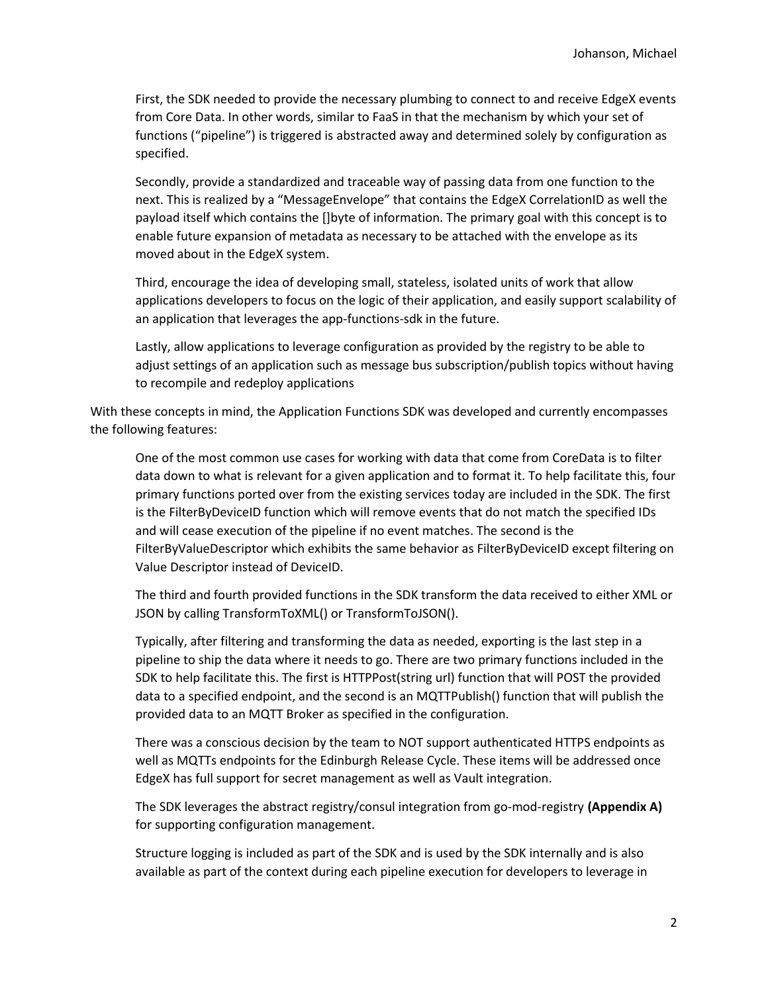First, the SDK needed to provide the necessary plumbing to connect to and receive EdgeX events from Core Data. In other words, similar to FaaS in that the mechanism by which your set of functions ("pipeline") is triggered is abstracted away and determined solely by configuration as specified.

Secondly, provide a standardized and traceable way of passing data from one function to the next. This is realized by a "MessageEnvelope" that contains the EdgeX CorrelationID as well the payload itself which contains the []byte of information. The primary goal with this concept is to enable future expansion of metadata as necessary to be attached with the envelope as its moved about in the EdgeX system.

Third, encourage the idea of developing small, stateless, isolated units of work that allow applications developers to focus on the logic of their application, and easily support scalability of an application that leverages the app-functions-sdk in the future.

Lastly, allow applications to leverage configuration as provided by the registry to be able to adjust settings of an application such as message bus subscription/publish topics without having to recompile and redeploy applications

With these concepts in mind, the Application Functions SDK was developed and currently encompasses the following features:

One of the most common use cases for working with data that come from CoreData is to filter data down to what is relevant for a given application and to format it. To help facilitate this, four primary functions ported over from the existing services today are included in the SDK. The first is the FilterByDeviceID function which will remove events that do not match the specified IDs and will cease execution of the pipeline if no event matches. The second is the FilterByValueDescriptor which exhibits the same behavior as FilterByDeviceID except filtering on Value Descriptor instead of DeviceID.

The third and fourth provided functions in the SDK transform the data received to either XML or JSON by calling TransformToXML() or TransformToJSON().

Typically, after filtering and transforming the data as needed, exporting is the last step in a pipeline to ship the data where it needs to go. There are two primary functions included in the SDK to help facilitate this. The first is HTTPPost(string url) function that will POST the provided data to a specified endpoint, and the second is an MQTTPublish() function that will publish the provided data to an MQTT Broker as specified in the configuration.

There was a conscious decision by the team to NOT support authenticated HTTPS endpoints as well as MQTTs endpoints for the Edinburgh Release Cycle. These items will be addressed once EdgeX has full support for secret management as well as Vault integration.

The SDK leverages the abstract registry/consul integration from go-mod-registry (Appendix A) for supporting configuration management.

Structure logging is included as part of the SDK and is used by the SDK internally and is also available as part of the context during each pipeline execution for developers to leverage in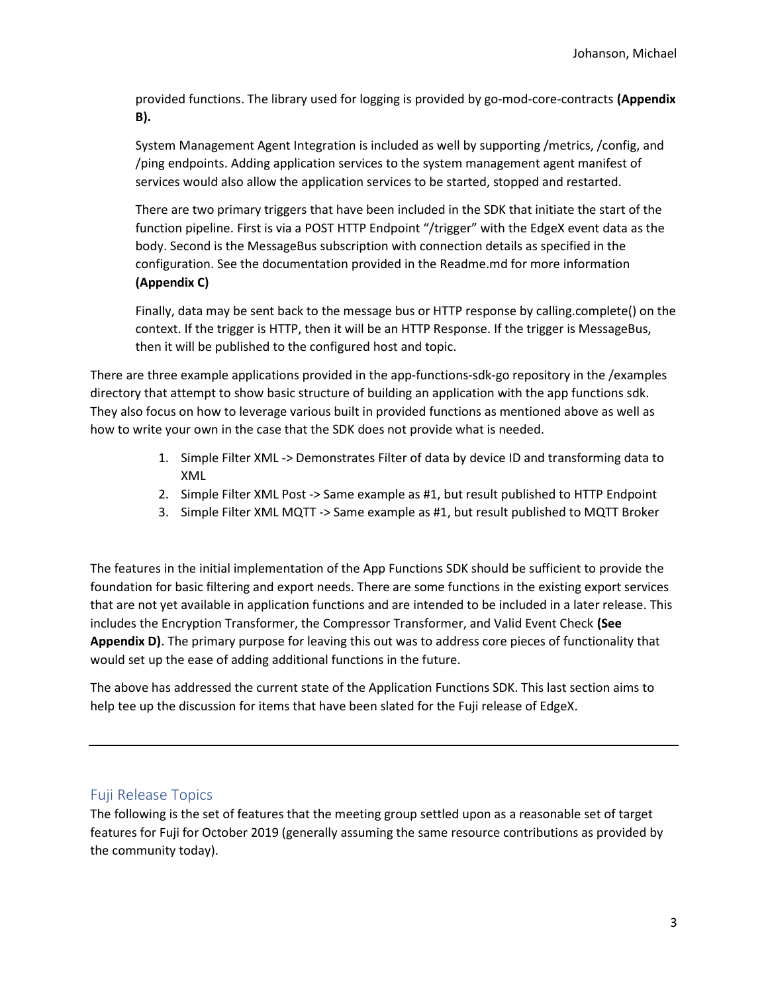provided functions. The library used for logging is provided by go-mod-core-contracts (Appendix B).

System Management Agent Integration is included as well by supporting /metrics, /config, and /ping endpoints. Adding application services to the system management agent manifest of services would also allow the application services to be started, stopped and restarted.

There are two primary triggers that have been included in the SDK that initiate the start of the function pipeline. First is via a POST HTTP Endpoint "/trigger" with the EdgeX event data as the body. Second is the MessageBus subscription with connection details as specified in the configuration. See the documentation provided in the Readme.md for more information (Appendix C)

Finally, data may be sent back to the message bus or HTTP response by calling.complete() on the context. If the trigger is HTTP, then it will be an HTTP Response. If the trigger is MessageBus, then it will be published to the configured host and topic.

There are three example applications provided in the app-functions-sdk-go repository in the /examples directory that attempt to show basic structure of building an application with the app functions sdk. They also focus on how to leverage various built in provided functions as mentioned above as well as how to write your own in the case that the SDK does not provide what is needed.

- 1. Simple Filter XML -> Demonstrates Filter of data by device ID and transforming data to XML
- 2. Simple Filter XML Post -> Same example as #1, but result published to HTTP Endpoint
- 3. Simple Filter XML MQTT -> Same example as #1, but result published to MQTT Broker

The features in the initial implementation of the App Functions SDK should be sufficient to provide the foundation for basic filtering and export needs. There are some functions in the existing export services that are not yet available in application functions and are intended to be included in a later release. This includes the Encryption Transformer, the Compressor Transformer, and Valid Event Check (See Appendix D). The primary purpose for leaving this out was to address core pieces of functionality that would set up the ease of adding additional functions in the future.

The above has addressed the current state of the Application Functions SDK. This last section aims to help tee up the discussion for items that have been slated for the Fuji release of EdgeX.

#### Fuji Release Topics

The following is the set of features that the meeting group settled upon as a reasonable set of target features for Fuji for October 2019 (generally assuming the same resource contributions as provided by the community today).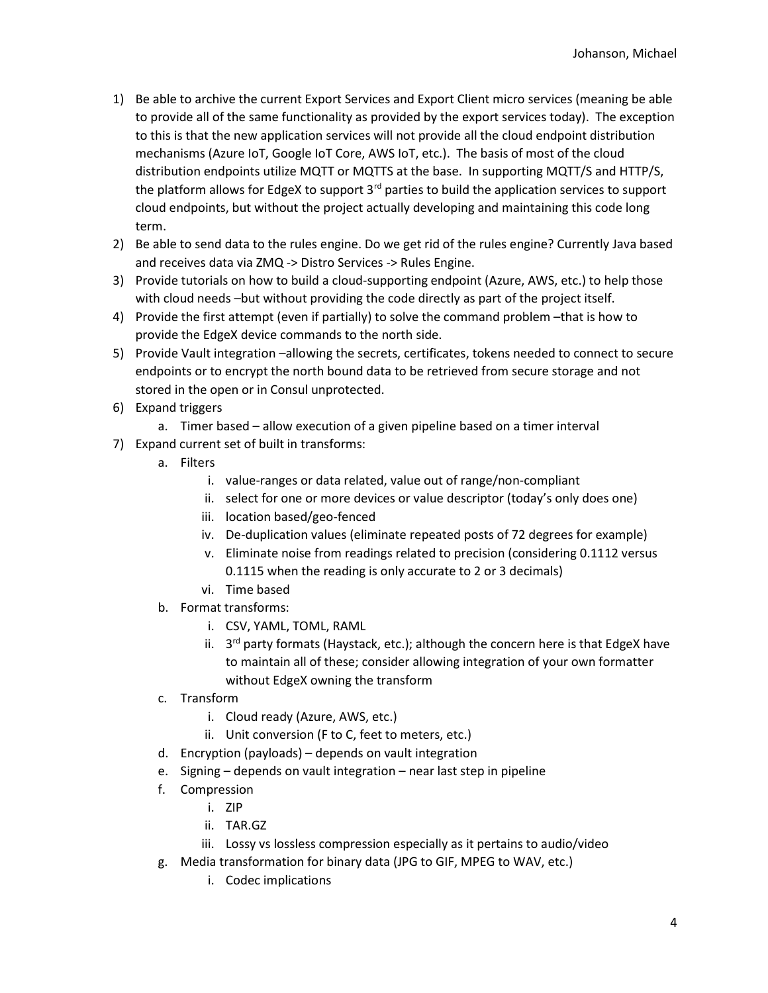- 1) Be able to archive the current Export Services and Export Client micro services (meaning be able to provide all of the same functionality as provided by the export services today). The exception to this is that the new application services will not provide all the cloud endpoint distribution mechanisms (Azure IoT, Google IoT Core, AWS IoT, etc.). The basis of most of the cloud distribution endpoints utilize MQTT or MQTTS at the base. In supporting MQTT/S and HTTP/S, the platform allows for EdgeX to support  $3<sup>rd</sup>$  parties to build the application services to support cloud endpoints, but without the project actually developing and maintaining this code long term.
- 2) Be able to send data to the rules engine. Do we get rid of the rules engine? Currently Java based and receives data via ZMQ -> Distro Services -> Rules Engine.
- 3) Provide tutorials on how to build a cloud-supporting endpoint (Azure, AWS, etc.) to help those with cloud needs –but without providing the code directly as part of the project itself.
- 4) Provide the first attempt (even if partially) to solve the command problem –that is how to provide the EdgeX device commands to the north side.
- 5) Provide Vault integration –allowing the secrets, certificates, tokens needed to connect to secure endpoints or to encrypt the north bound data to be retrieved from secure storage and not stored in the open or in Consul unprotected.
- 6) Expand triggers
	- a. Timer based allow execution of a given pipeline based on a timer interval
- 7) Expand current set of built in transforms:
	- a. Filters
		- i. value-ranges or data related, value out of range/non-compliant
		- ii. select for one or more devices or value descriptor (today's only does one)
		- iii. location based/geo-fenced
		- iv. De-duplication values (eliminate repeated posts of 72 degrees for example)
		- v. Eliminate noise from readings related to precision (considering 0.1112 versus 0.1115 when the reading is only accurate to 2 or 3 decimals)
		- vi. Time based
	- b. Format transforms:
		- i. CSV, YAML, TOML, RAML
		- ii. 3<sup>rd</sup> party formats (Haystack, etc.); although the concern here is that EdgeX have to maintain all of these; consider allowing integration of your own formatter without EdgeX owning the transform
	- c. Transform
		- i. Cloud ready (Azure, AWS, etc.)
		- ii. Unit conversion (F to C, feet to meters, etc.)
	- d. Encryption (payloads) depends on vault integration
	- e. Signing depends on vault integration near last step in pipeline
	- f. Compression
		- i. ZIP
		- ii. TAR.GZ
		- iii. Lossy vs lossless compression especially as it pertains to audio/video
	- g. Media transformation for binary data (JPG to GIF, MPEG to WAV, etc.)
		- i. Codec implications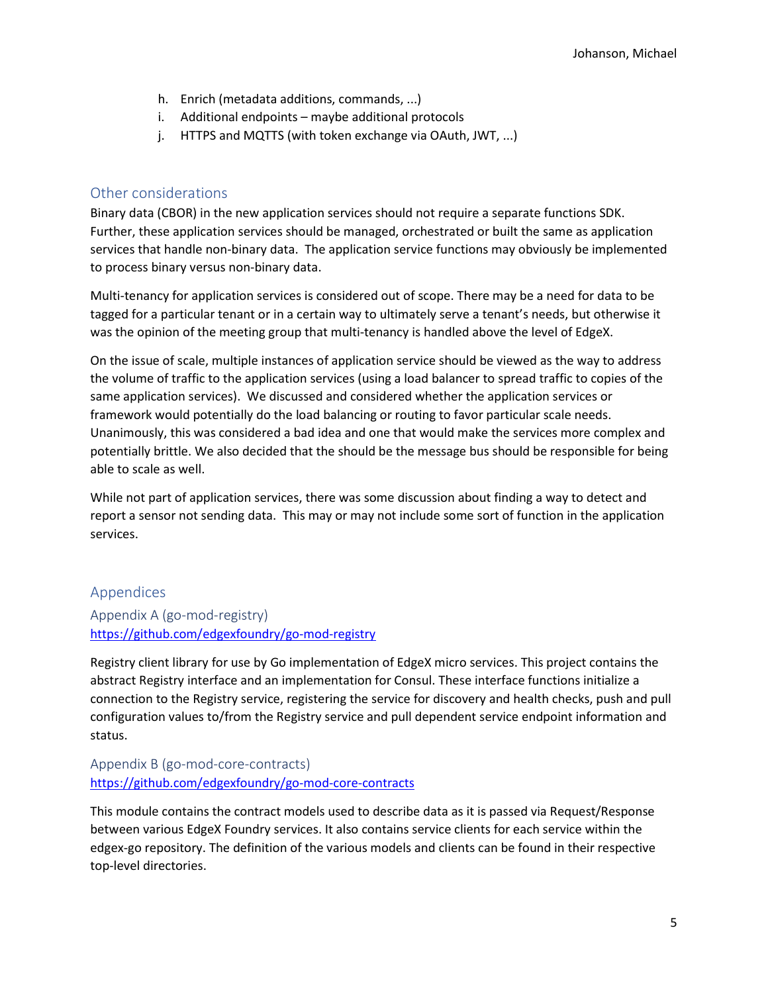- h. Enrich (metadata additions, commands, ...)
- i. Additional endpoints maybe additional protocols
- j. HTTPS and MQTTS (with token exchange via OAuth, JWT, ...)

### Other considerations

Binary data (CBOR) in the new application services should not require a separate functions SDK. Further, these application services should be managed, orchestrated or built the same as application services that handle non-binary data. The application service functions may obviously be implemented to process binary versus non-binary data.

Multi-tenancy for application services is considered out of scope. There may be a need for data to be tagged for a particular tenant or in a certain way to ultimately serve a tenant's needs, but otherwise it was the opinion of the meeting group that multi-tenancy is handled above the level of EdgeX.

On the issue of scale, multiple instances of application service should be viewed as the way to address the volume of traffic to the application services (using a load balancer to spread traffic to copies of the same application services). We discussed and considered whether the application services or framework would potentially do the load balancing or routing to favor particular scale needs. Unanimously, this was considered a bad idea and one that would make the services more complex and potentially brittle. We also decided that the should be the message bus should be responsible for being able to scale as well.

While not part of application services, there was some discussion about finding a way to detect and report a sensor not sending data. This may or may not include some sort of function in the application services.

### Appendices

Appendix A (go-mod-registry) https://github.com/edgexfoundry/go-mod-registry

Registry client library for use by Go implementation of EdgeX micro services. This project contains the abstract Registry interface and an implementation for Consul. These interface functions initialize a connection to the Registry service, registering the service for discovery and health checks, push and pull configuration values to/from the Registry service and pull dependent service endpoint information and status.

## Appendix B (go-mod-core-contracts) https://github.com/edgexfoundry/go-mod-core-contracts

This module contains the contract models used to describe data as it is passed via Request/Response between various EdgeX Foundry services. It also contains service clients for each service within the edgex-go repository. The definition of the various models and clients can be found in their respective top-level directories.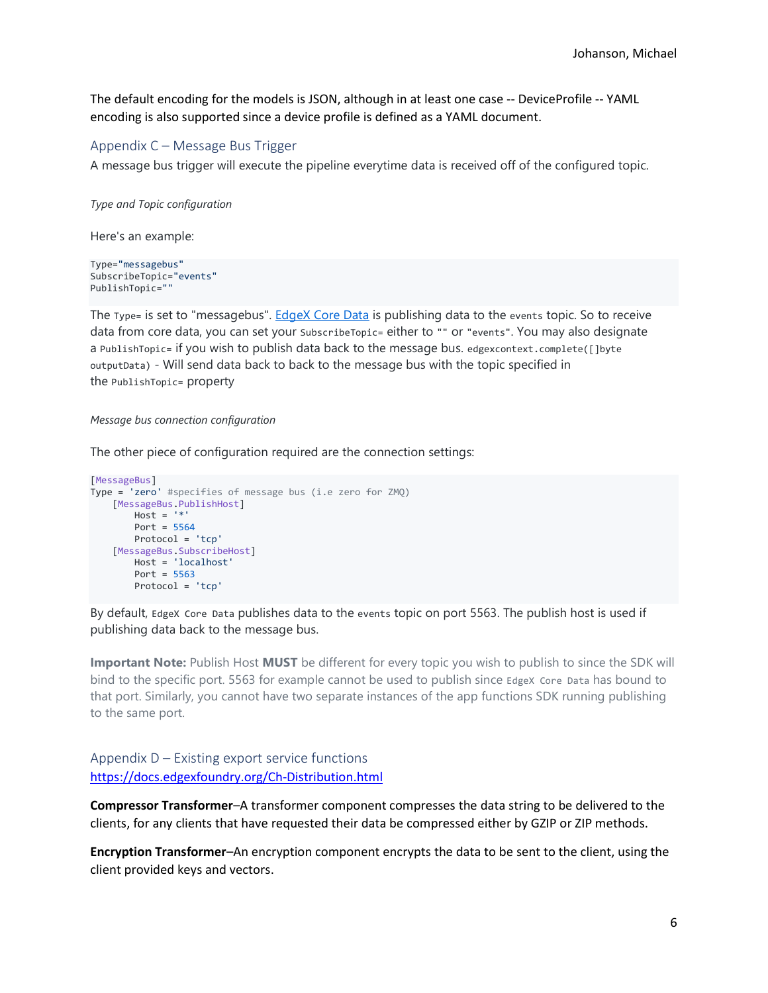The default encoding for the models is JSON, although in at least one case -- DeviceProfile -- YAML encoding is also supported since a device profile is defined as a YAML document.

#### Appendix C – Message Bus Trigger

A message bus trigger will execute the pipeline everytime data is received off of the configured topic.

Type and Topic configuration

Here's an example:

Type="messagebus" SubscribeTopic="events" PublishTopic=""

The Type= is set to "messagebus". EdgeX Core Data is publishing data to the events topic. So to receive data from core data, you can set your SubscribeTopic= either to "" or "events". You may also designate a PublishTopic= if you wish to publish data back to the message bus. edgexcontext.complete([]byte outputData) - Will send data back to back to the message bus with the topic specified in the PublishTopic= property

#### Message bus connection configuration

The other piece of configuration required are the connection settings:

```
[MessageBus] 
Type = 'zero' #specifies of message bus (i.e zero for ZMQ)
     [MessageBus.PublishHost] 
       Host = 'Port = 5564 Protocol = 'tcp'
     [MessageBus.SubscribeHost] 
         Host = 'localhost'
        Port = 5563 Protocol = 'tcp'
```
By default, EdgeX Core Data publishes data to the events topic on port 5563. The publish host is used if publishing data back to the message bus.

Important Note: Publish Host MUST be different for every topic you wish to publish to since the SDK will bind to the specific port. 5563 for example cannot be used to publish since EdgeX Core Data has bound to that port. Similarly, you cannot have two separate instances of the app functions SDK running publishing to the same port.

Appendix D – Existing export service functions https://docs.edgexfoundry.org/Ch-Distribution.html

Compressor Transformer–A transformer component compresses the data string to be delivered to the clients, for any clients that have requested their data be compressed either by GZIP or ZIP methods.

Encryption Transformer–An encryption component encrypts the data to be sent to the client, using the client provided keys and vectors.